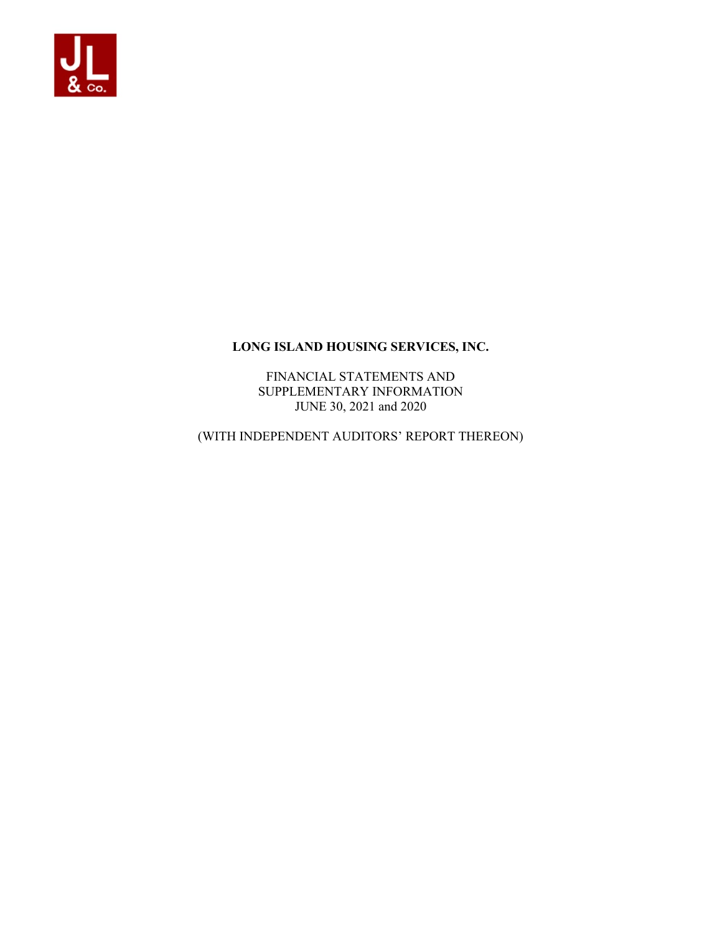

## **LONG ISLAND HOUSING SERVICES, INC.**

FINANCIAL STATEMENTS AND SUPPLEMENTARY INFORMATION JUNE 30, 2021 and 2020

(WITH INDEPENDENT AUDITORS' REPORT THEREON)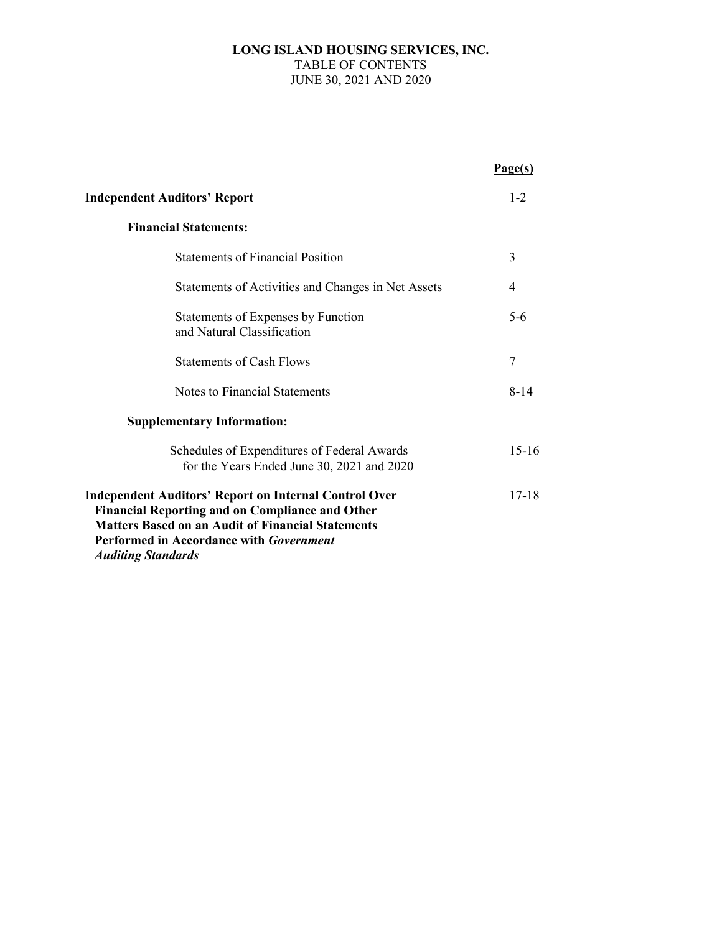#### **LONG ISLAND HOUSING SERVICES, INC.** TABLE OF CONTENTS JUNE 30, 2021 AND 2020

|                                                                                                                                                                                                                                                            | Page(s)   |
|------------------------------------------------------------------------------------------------------------------------------------------------------------------------------------------------------------------------------------------------------------|-----------|
| <b>Independent Auditors' Report</b>                                                                                                                                                                                                                        | $1 - 2$   |
| <b>Financial Statements:</b>                                                                                                                                                                                                                               |           |
| <b>Statements of Financial Position</b>                                                                                                                                                                                                                    | 3         |
| Statements of Activities and Changes in Net Assets                                                                                                                                                                                                         | 4         |
| Statements of Expenses by Function<br>and Natural Classification                                                                                                                                                                                           | $5 - 6$   |
| <b>Statements of Cash Flows</b>                                                                                                                                                                                                                            | 7         |
| Notes to Financial Statements                                                                                                                                                                                                                              | $8 - 14$  |
| <b>Supplementary Information:</b>                                                                                                                                                                                                                          |           |
| Schedules of Expenditures of Federal Awards<br>for the Years Ended June 30, 2021 and 2020                                                                                                                                                                  | $15-16$   |
| <b>Independent Auditors' Report on Internal Control Over</b><br><b>Financial Reporting and on Compliance and Other</b><br><b>Matters Based on an Audit of Financial Statements</b><br>Performed in Accordance with Government<br><b>Auditing Standards</b> | $17 - 18$ |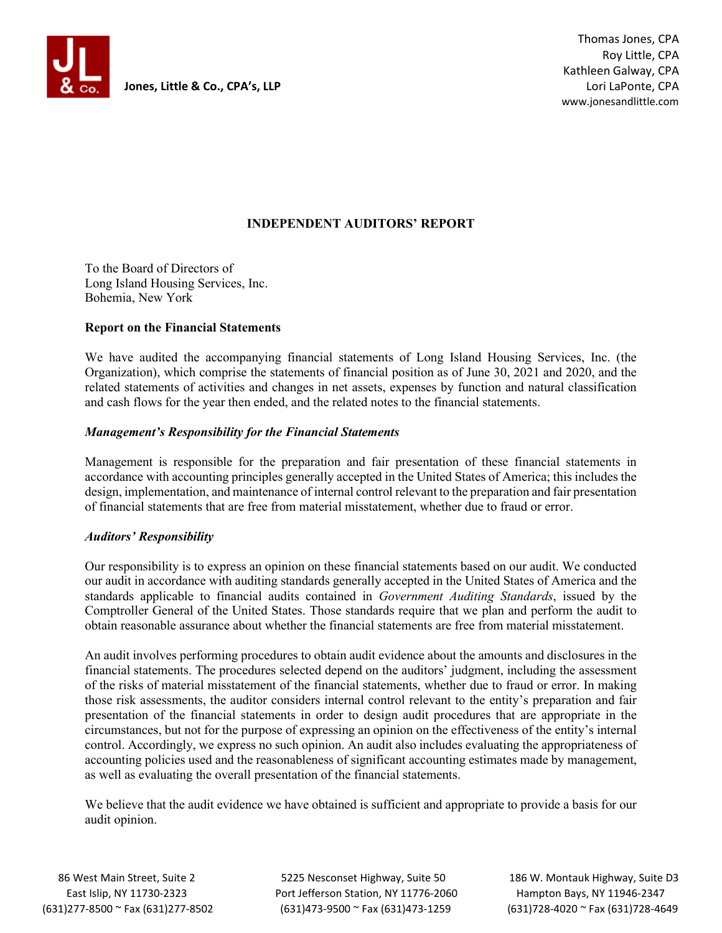

**Jones, Little & Co., CPA's, LLP** Lori LaPonte, CPA

## **INDEPENDENT AUDITORS' REPORT**

To the Board of Directors of Long Island Housing Services, Inc. Bohemia, New York

#### **Report on the Financial Statements**

We have audited the accompanying financial statements of Long Island Housing Services, Inc. (the Organization), which comprise the statements of financial position as of June 30, 2021 and 2020, and the related statements of activities and changes in net assets, expenses by function and natural classification and cash flows for the year then ended, and the related notes to the financial statements.

#### *Management's Responsibility for the Financial Statements*

Management is responsible for the preparation and fair presentation of these financial statements in accordance with accounting principles generally accepted in the United States of America; this includes the design, implementation, and maintenance of internal control relevant to the preparation and fair presentation of financial statements that are free from material misstatement, whether due to fraud or error.

#### *Auditors' Responsibility*

Our responsibility is to express an opinion on these financial statements based on our audit. We conducted our audit in accordance with auditing standards generally accepted in the United States of America and the standards applicable to financial audits contained in *Government Auditing Standards*, issued by the Comptroller General of the United States. Those standards require that we plan and perform the audit to obtain reasonable assurance about whether the financial statements are free from material misstatement.

An audit involves performing procedures to obtain audit evidence about the amounts and disclosures in the financial statements. The procedures selected depend on the auditors' judgment, including the assessment of the risks of material misstatement of the financial statements, whether due to fraud or error. In making those risk assessments, the auditor considers internal control relevant to the entity's preparation and fair presentation of the financial statements in order to design audit procedures that are appropriate in the circumstances, but not for the purpose of expressing an opinion on the effectiveness of the entity's internal control. Accordingly, we express no such opinion. An audit also includes evaluating the appropriateness of accounting policies used and the reasonableness of significant accounting estimates made by management, as well as evaluating the overall presentation of the financial statements.

We believe that the audit evidence we have obtained is sufficient and appropriate to provide a basis for our audit opinion.

86 West Main Street, Suite 2 5225 Nesconset Highway, Suite 50 186 W. Montauk Highway, Suite D3 East Islip, NY 11730-2323 Port Jefferson Station, NY 11776-2060 Hampton Bays, NY 11946-2347 (631)277-8500 ~ Fax (631)277-8502 (631)473-9500 ~ Fax (631)473-1259 (631)728-4020 ~ Fax (631)728-4649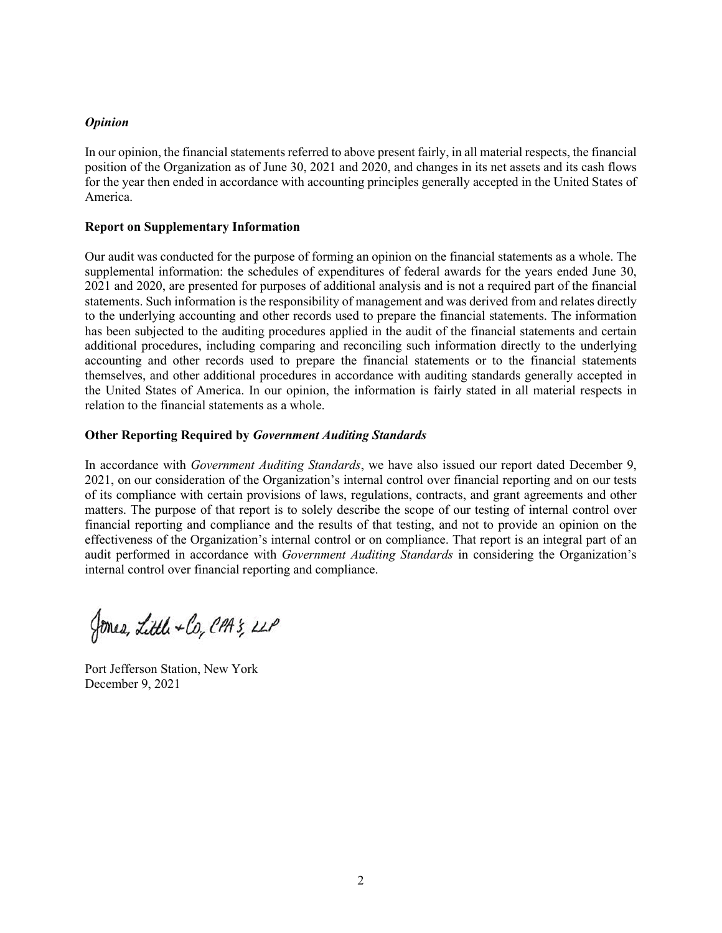#### *Opinion*

In our opinion, the financial statements referred to above present fairly, in all material respects, the financial position of the Organization as of June 30, 2021 and 2020, and changes in its net assets and its cash flows for the year then ended in accordance with accounting principles generally accepted in the United States of America.

#### **Report on Supplementary Information**

Our audit was conducted for the purpose of forming an opinion on the financial statements as a whole. The supplemental information: the schedules of expenditures of federal awards for the years ended June 30, 2021 and 2020, are presented for purposes of additional analysis and is not a required part of the financial statements. Such information is the responsibility of management and was derived from and relates directly to the underlying accounting and other records used to prepare the financial statements. The information has been subjected to the auditing procedures applied in the audit of the financial statements and certain additional procedures, including comparing and reconciling such information directly to the underlying accounting and other records used to prepare the financial statements or to the financial statements themselves, and other additional procedures in accordance with auditing standards generally accepted in the United States of America. In our opinion, the information is fairly stated in all material respects in relation to the financial statements as a whole.

#### **Other Reporting Required by** *Government Auditing Standards*

In accordance with *Government Auditing Standards*, we have also issued our report dated December 9, 2021, on our consideration of the Organization's internal control over financial reporting and on our tests of its compliance with certain provisions of laws, regulations, contracts, and grant agreements and other matters. The purpose of that report is to solely describe the scope of our testing of internal control over financial reporting and compliance and the results of that testing, and not to provide an opinion on the effectiveness of the Organization's internal control or on compliance. That report is an integral part of an audit performed in accordance with *Government Auditing Standards* in considering the Organization's internal control over financial reporting and compliance.

Jones, Little +Co, CPA 3, LLP

Port Jefferson Station, New York December 9, 2021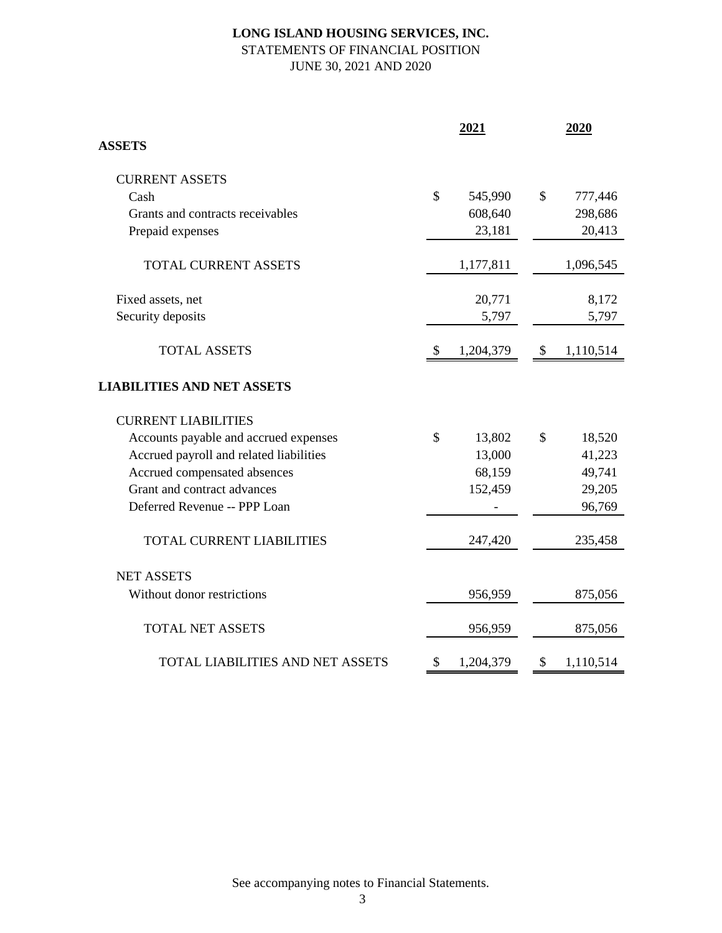## **LONG ISLAND HOUSING SERVICES, INC.** STATEMENTS OF FINANCIAL POSITION JUNE 30, 2021 AND 2020

|                                         | 2021                      |           | 2020          |           |  |
|-----------------------------------------|---------------------------|-----------|---------------|-----------|--|
| <b>ASSETS</b>                           |                           |           |               |           |  |
| <b>CURRENT ASSETS</b>                   |                           |           |               |           |  |
| Cash                                    | \$                        | 545,990   | \$            | 777,446   |  |
| Grants and contracts receivables        |                           | 608,640   |               | 298,686   |  |
| Prepaid expenses                        |                           | 23,181    |               | 20,413    |  |
| TOTAL CURRENT ASSETS                    |                           | 1,177,811 |               | 1,096,545 |  |
| Fixed assets, net                       |                           | 20,771    |               | 8,172     |  |
| Security deposits                       |                           | 5,797     |               | 5,797     |  |
| <b>TOTAL ASSETS</b>                     | $\boldsymbol{\mathsf{S}}$ | 1,204,379 | $\mathcal{S}$ | 1,110,514 |  |
| <b>LIABILITIES AND NET ASSETS</b>       |                           |           |               |           |  |
| <b>CURRENT LIABILITIES</b>              |                           |           |               |           |  |
| Accounts payable and accrued expenses   | \$                        | 13,802    | \$            | 18,520    |  |
| Accrued payroll and related liabilities |                           | 13,000    |               | 41,223    |  |
| Accrued compensated absences            |                           | 68,159    |               | 49,741    |  |
| Grant and contract advances             |                           | 152,459   |               | 29,205    |  |
| Deferred Revenue -- PPP Loan            |                           |           |               | 96,769    |  |
| <b>TOTAL CURRENT LIABILITIES</b>        |                           | 247,420   |               | 235,458   |  |
| <b>NET ASSETS</b>                       |                           |           |               |           |  |
| Without donor restrictions              |                           | 956,959   |               | 875,056   |  |
| <b>TOTAL NET ASSETS</b>                 |                           | 956,959   |               | 875,056   |  |
| TOTAL LIABILITIES AND NET ASSETS        | \$                        | 1,204,379 | \$            | 1,110,514 |  |

See accompanying notes to Financial Statements.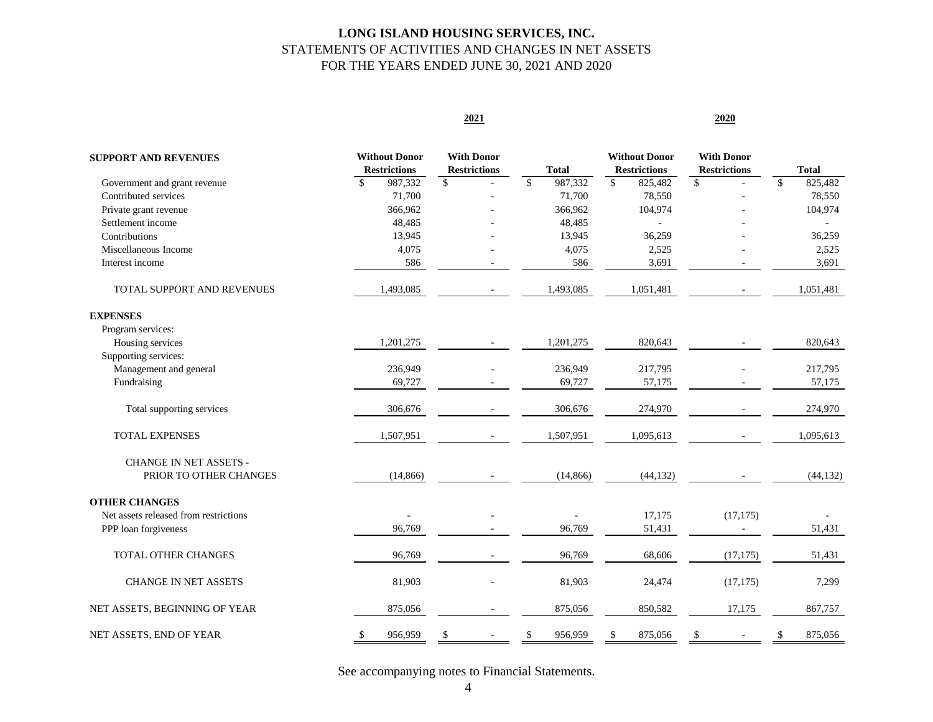# **LONG ISLAND HOUSING SERVICES, INC.** STATEMENTS OF ACTIVITIES AND CHANGES IN NET ASSETS FOR THE YEARS ENDED JUNE 30, 2021 AND 2020

**2021 2020**

| <b>SUPPORT AND REVENUES</b>           | <b>Without Donor</b><br><b>Restrictions</b> | <b>With Donor</b><br><b>Restrictions</b> | <b>Total</b>            | <b>Without Donor</b><br><b>Restrictions</b> | <b>With Donor</b><br><b>Restrictions</b>              | <b>Total</b>             |
|---------------------------------------|---------------------------------------------|------------------------------------------|-------------------------|---------------------------------------------|-------------------------------------------------------|--------------------------|
| Government and grant revenue          | \$<br>987,332                               | \$                                       | 987,332<br>$\mathbb{S}$ | $\mathcal{S}$<br>825,482                    | \$                                                    | 825,482<br>$\mathcal{S}$ |
| Contributed services                  | 71,700                                      |                                          | 71,700                  | 78,550                                      |                                                       | 78,550                   |
| Private grant revenue                 | 366,962                                     |                                          | 366,962                 | 104,974                                     |                                                       | 104,974                  |
| Settlement income                     | 48,485                                      |                                          | 48,485                  |                                             |                                                       |                          |
| Contributions                         | 13,945                                      |                                          | 13,945                  | 36,259                                      |                                                       | 36,259                   |
| Miscellaneous Income                  | 4,075                                       |                                          | 4,075                   | 2,525                                       |                                                       | 2,525                    |
| Interest income                       | 586                                         |                                          | 586                     | 3,691                                       |                                                       | 3,691                    |
| TOTAL SUPPORT AND REVENUES            | 1,493,085                                   |                                          | 1,493,085               | 1,051,481                                   |                                                       | 1,051,481                |
| <b>EXPENSES</b>                       |                                             |                                          |                         |                                             |                                                       |                          |
| Program services:                     |                                             |                                          |                         |                                             |                                                       |                          |
| Housing services                      | 1,201,275                                   |                                          | 1,201,275               | 820,643                                     |                                                       | 820,643                  |
| Supporting services:                  |                                             |                                          |                         |                                             |                                                       |                          |
| Management and general                | 236,949                                     |                                          | 236,949                 | 217,795                                     |                                                       | 217,795                  |
| Fundraising                           | 69,727                                      |                                          | 69,727                  | 57,175                                      |                                                       | 57,175                   |
| Total supporting services             | 306,676                                     |                                          | 306,676                 | 274,970                                     |                                                       | 274,970                  |
| TOTAL EXPENSES                        | 1,507,951                                   |                                          | 1,507,951               | 1,095,613                                   |                                                       | 1,095,613                |
| <b>CHANGE IN NET ASSETS -</b>         |                                             |                                          |                         |                                             |                                                       |                          |
| PRIOR TO OTHER CHANGES                | (14, 866)                                   |                                          | (14, 866)               | (44, 132)                                   |                                                       | (44, 132)                |
| <b>OTHER CHANGES</b>                  |                                             |                                          |                         |                                             |                                                       |                          |
| Net assets released from restrictions |                                             |                                          |                         | 17,175                                      | (17, 175)                                             |                          |
| PPP loan forgiveness                  | 96,769                                      |                                          | 96,769                  | 51,431                                      |                                                       | 51,431                   |
| TOTAL OTHER CHANGES                   | 96,769                                      |                                          | 96,769                  | 68,606                                      | (17, 175)                                             | 51,431                   |
| <b>CHANGE IN NET ASSETS</b>           | 81,903                                      |                                          | 81,903                  | 24,474                                      | (17, 175)                                             | 7,299                    |
| NET ASSETS, BEGINNING OF YEAR         | 875,056                                     |                                          | 875,056                 | 850,582                                     | 17,175                                                | 867,757                  |
| NET ASSETS, END OF YEAR               | 956,959<br>P                                | \$                                       | 956,959<br>\$           | 875,056<br>$\boldsymbol{\mathsf{S}}$        | $\boldsymbol{\mathsf{S}}$<br>$\overline{\phantom{a}}$ | 875,056<br>\$            |

See accompanying notes to Financial Statements.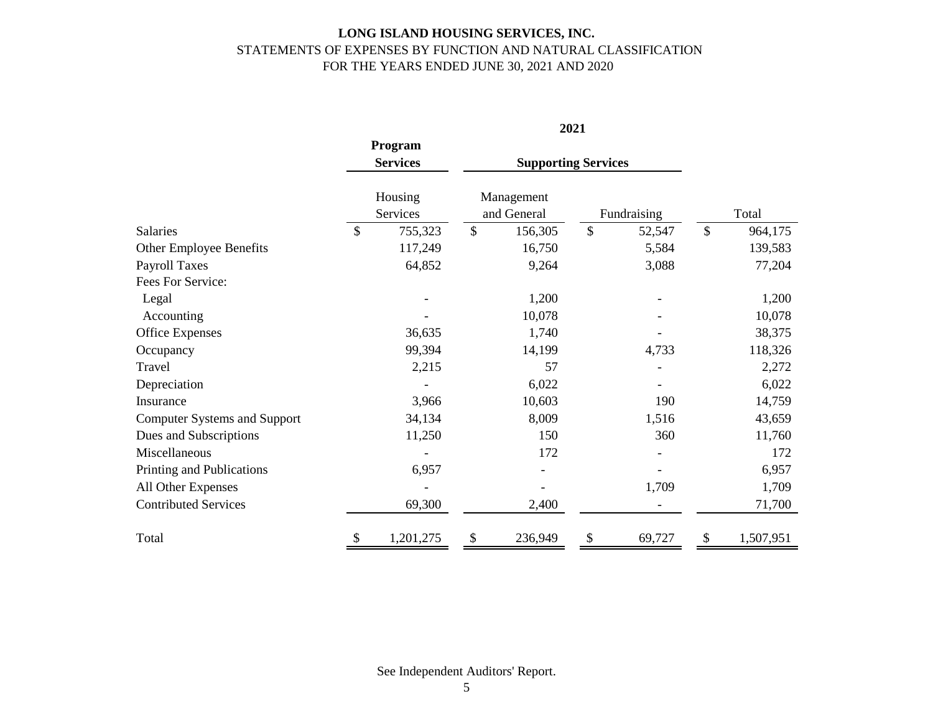## **LONG ISLAND HOUSING SERVICES, INC.** STATEMENTS OF EXPENSES BY FUNCTION AND NATURAL CLASSIFICATION FOR THE YEARS ENDED JUNE 30, 2021 AND 2020

|                                     | 2021 |                            |                            |                           |                           |             |                 |
|-------------------------------------|------|----------------------------|----------------------------|---------------------------|---------------------------|-------------|-----------------|
|                                     |      | Program<br><b>Services</b> | <b>Supporting Services</b> |                           |                           |             |                 |
|                                     |      | Housing<br>Services        |                            | Management<br>and General |                           | Fundraising | Total           |
| <b>Salaries</b>                     | \$   | 755,323                    | \$                         | 156,305                   | $\boldsymbol{\mathsf{S}}$ | 52,547      | \$<br>964,175   |
| Other Employee Benefits             |      | 117,249                    |                            | 16,750                    |                           | 5,584       | 139,583         |
| <b>Payroll Taxes</b>                |      | 64,852                     |                            | 9,264                     |                           | 3,088       | 77,204          |
| Fees For Service:                   |      |                            |                            |                           |                           |             |                 |
| Legal                               |      |                            |                            | 1,200                     |                           |             | 1,200           |
| Accounting                          |      |                            |                            | 10,078                    |                           |             | 10,078          |
| <b>Office Expenses</b>              |      | 36,635                     |                            | 1,740                     |                           |             | 38,375          |
| Occupancy                           |      | 99,394                     |                            | 14,199                    |                           | 4,733       | 118,326         |
| Travel                              |      | 2,215                      |                            | 57                        |                           |             | 2,272           |
| Depreciation                        |      |                            |                            | 6,022                     |                           |             | 6,022           |
| Insurance                           |      | 3,966                      |                            | 10,603                    |                           | 190         | 14,759          |
| <b>Computer Systems and Support</b> |      | 34,134                     |                            | 8,009                     |                           | 1,516       | 43,659          |
| Dues and Subscriptions              |      | 11,250                     |                            | 150                       |                           | 360         | 11,760          |
| Miscellaneous                       |      |                            |                            | 172                       |                           |             | 172             |
| Printing and Publications           |      | 6,957                      |                            |                           |                           |             | 6,957           |
| All Other Expenses                  |      |                            |                            |                           |                           | 1,709       | 1,709           |
| <b>Contributed Services</b>         |      | 69,300                     |                            | 2,400                     |                           |             | 71,700          |
| Total                               | \$   | 1,201,275                  | \$                         | 236,949                   | \$                        | 69,727      | \$<br>1,507,951 |

See Independent Auditors' Report.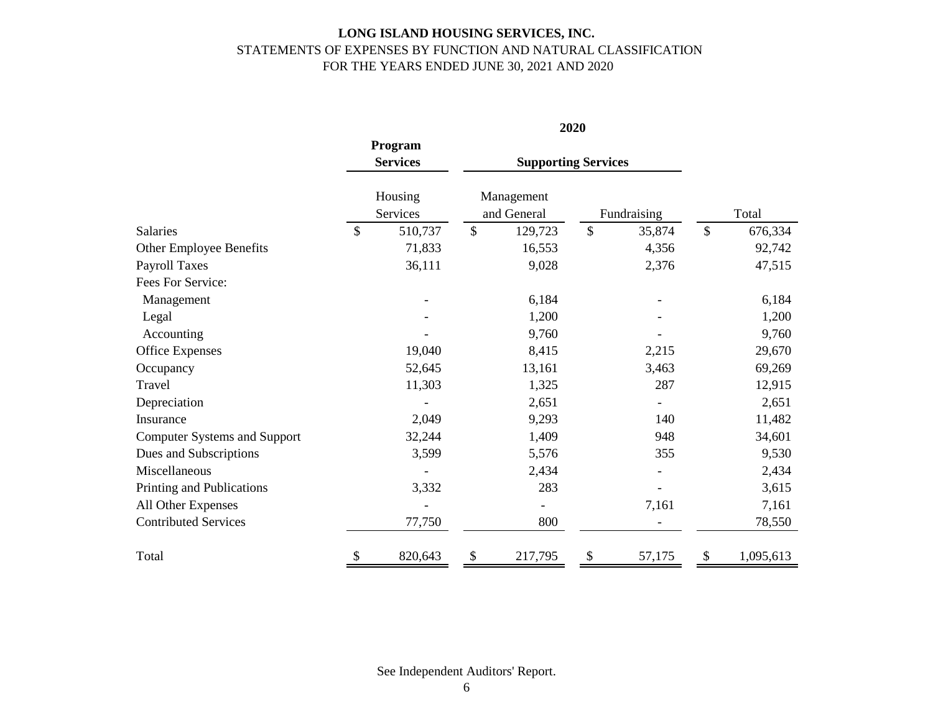## **LONG ISLAND HOUSING SERVICES, INC.** STATEMENTS OF EXPENSES BY FUNCTION AND NATURAL CLASSIFICATION FOR THE YEARS ENDED JUNE 30, 2021 AND 2020

|                                     |                            |                            |                           | 2020 |             |                 |
|-------------------------------------|----------------------------|----------------------------|---------------------------|------|-------------|-----------------|
|                                     | Program<br><b>Services</b> | <b>Supporting Services</b> |                           |      |             |                 |
|                                     | Housing<br>Services        |                            | Management<br>and General |      | Fundraising | Total           |
| <b>Salaries</b>                     | \$<br>510,737              | \$                         | 129,723                   | \$   | 35,874      | \$<br>676,334   |
| Other Employee Benefits             | 71,833                     |                            | 16,553                    |      | 4,356       | 92,742          |
| <b>Payroll Taxes</b>                | 36,111                     |                            | 9,028                     |      | 2,376       | 47,515          |
| Fees For Service:                   |                            |                            |                           |      |             |                 |
| Management                          |                            |                            | 6,184                     |      |             | 6,184           |
| Legal                               |                            |                            | 1,200                     |      |             | 1,200           |
| Accounting                          |                            |                            | 9,760                     |      |             | 9,760           |
| <b>Office Expenses</b>              | 19,040                     |                            | 8,415                     |      | 2,215       | 29,670          |
| Occupancy                           | 52,645                     |                            | 13,161                    |      | 3,463       | 69,269          |
| Travel                              | 11,303                     |                            | 1,325                     |      | 287         | 12,915          |
| Depreciation                        |                            |                            | 2,651                     |      |             | 2,651           |
| Insurance                           | 2,049                      |                            | 9,293                     |      | 140         | 11,482          |
| <b>Computer Systems and Support</b> | 32,244                     |                            | 1,409                     |      | 948         | 34,601          |
| Dues and Subscriptions              | 3,599                      |                            | 5,576                     |      | 355         | 9,530           |
| Miscellaneous                       |                            |                            | 2,434                     |      |             | 2,434           |
| Printing and Publications           | 3,332                      |                            | 283                       |      |             | 3,615           |
| All Other Expenses                  |                            |                            |                           |      | 7,161       | 7,161           |
| <b>Contributed Services</b>         | 77,750                     |                            | 800                       |      |             | 78,550          |
| Total                               | \$<br>820,643              | \$                         | 217,795                   | \$   | 57,175      | \$<br>1,095,613 |

See Independent Auditors' Report.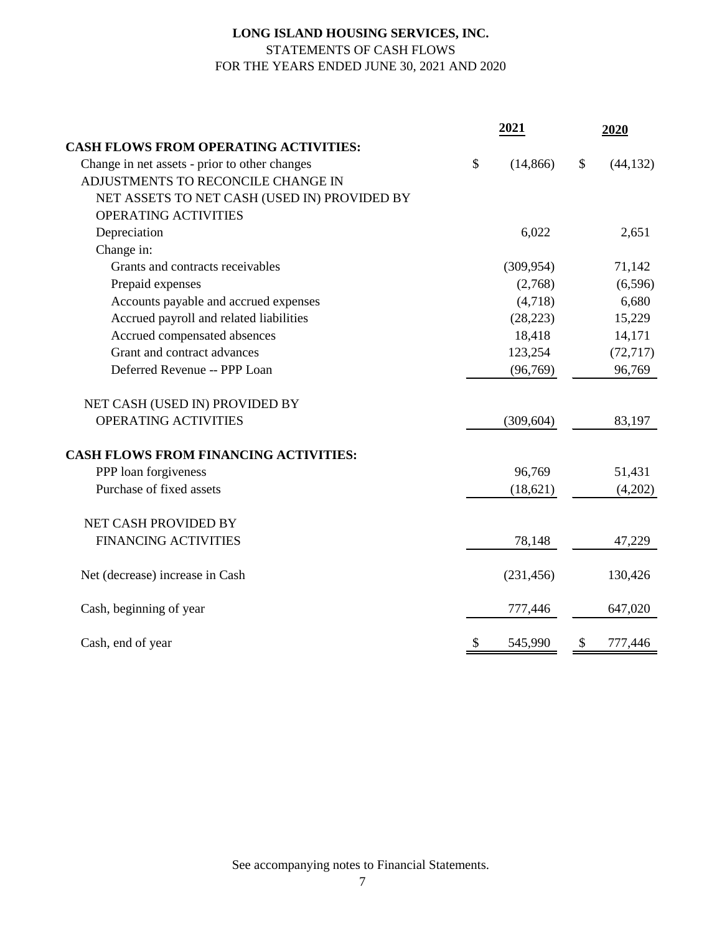## **LONG ISLAND HOUSING SERVICES, INC.** STATEMENTS OF CASH FLOWS FOR THE YEARS ENDED JUNE 30, 2021 AND 2020

|                                               |              | 2021       | 2020            |
|-----------------------------------------------|--------------|------------|-----------------|
| <b>CASH FLOWS FROM OPERATING ACTIVITIES:</b>  |              |            |                 |
| Change in net assets - prior to other changes | $\mathbb{S}$ | (14, 866)  | \$<br>(44, 132) |
| ADJUSTMENTS TO RECONCILE CHANGE IN            |              |            |                 |
| NET ASSETS TO NET CASH (USED IN) PROVIDED BY  |              |            |                 |
| OPERATING ACTIVITIES                          |              |            |                 |
| Depreciation                                  |              | 6,022      | 2,651           |
| Change in:                                    |              |            |                 |
| Grants and contracts receivables              |              | (309, 954) | 71,142          |
| Prepaid expenses                              |              | (2,768)    | (6,596)         |
| Accounts payable and accrued expenses         |              | (4,718)    | 6,680           |
| Accrued payroll and related liabilities       |              | (28, 223)  | 15,229          |
| Accrued compensated absences                  |              | 18,418     | 14,171          |
| Grant and contract advances                   |              | 123,254    | (72, 717)       |
| Deferred Revenue -- PPP Loan                  |              | (96, 769)  | 96,769          |
| NET CASH (USED IN) PROVIDED BY                |              |            |                 |
| OPERATING ACTIVITIES                          |              | (309, 604) | 83,197          |
| <b>CASH FLOWS FROM FINANCING ACTIVITIES:</b>  |              |            |                 |
| PPP loan forgiveness                          |              | 96,769     | 51,431          |
| Purchase of fixed assets                      |              | (18,621)   | (4,202)         |
| NET CASH PROVIDED BY                          |              |            |                 |
| <b>FINANCING ACTIVITIES</b>                   |              | 78,148     | 47,229          |
| Net (decrease) increase in Cash               |              | (231, 456) | 130,426         |
| Cash, beginning of year                       |              | 777,446    | 647,020         |
| Cash, end of year                             | \$           | 545,990    | \$<br>777,446   |

See accompanying notes to Financial Statements.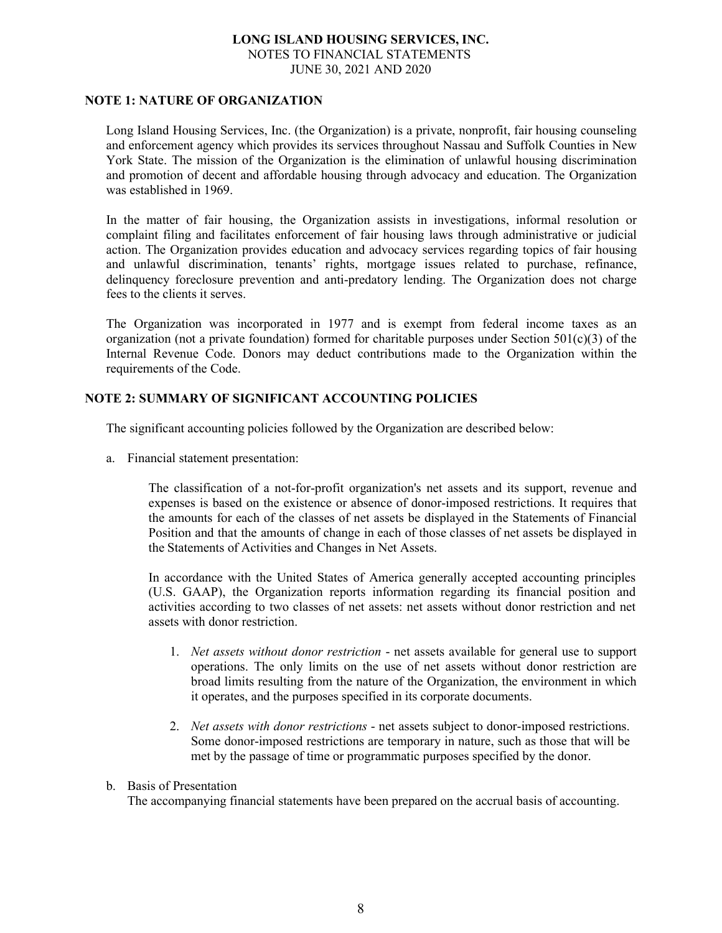#### **NOTE 1: NATURE OF ORGANIZATION**

Long Island Housing Services, Inc. (the Organization) is a private, nonprofit, fair housing counseling and enforcement agency which provides its services throughout Nassau and Suffolk Counties in New York State. The mission of the Organization is the elimination of unlawful housing discrimination and promotion of decent and affordable housing through advocacy and education. The Organization was established in 1969.

In the matter of fair housing, the Organization assists in investigations, informal resolution or complaint filing and facilitates enforcement of fair housing laws through administrative or judicial action. The Organization provides education and advocacy services regarding topics of fair housing and unlawful discrimination, tenants' rights, mortgage issues related to purchase, refinance, delinquency foreclosure prevention and anti-predatory lending. The Organization does not charge fees to the clients it serves.

The Organization was incorporated in 1977 and is exempt from federal income taxes as an organization (not a private foundation) formed for charitable purposes under Section  $501(c)(3)$  of the Internal Revenue Code. Donors may deduct contributions made to the Organization within the requirements of the Code.

#### **NOTE 2: SUMMARY OF SIGNIFICANT ACCOUNTING POLICIES**

The significant accounting policies followed by the Organization are described below:

a. Financial statement presentation:

The classification of a not-for-profit organization's net assets and its support, revenue and expenses is based on the existence or absence of donor-imposed restrictions. It requires that the amounts for each of the classes of net assets be displayed in the Statements of Financial Position and that the amounts of change in each of those classes of net assets be displayed in the Statements of Activities and Changes in Net Assets.

In accordance with the United States of America generally accepted accounting principles (U.S. GAAP), the Organization reports information regarding its financial position and activities according to two classes of net assets: net assets without donor restriction and net assets with donor restriction.

- 1. *Net assets without donor restriction*  net assets available for general use to support operations. The only limits on the use of net assets without donor restriction are broad limits resulting from the nature of the Organization, the environment in which it operates, and the purposes specified in its corporate documents.
- 2. *Net assets with donor restrictions*  net assets subject to donor-imposed restrictions. Some donor-imposed restrictions are temporary in nature, such as those that will be met by the passage of time or programmatic purposes specified by the donor.

#### b. Basis of Presentation

The accompanying financial statements have been prepared on the accrual basis of accounting.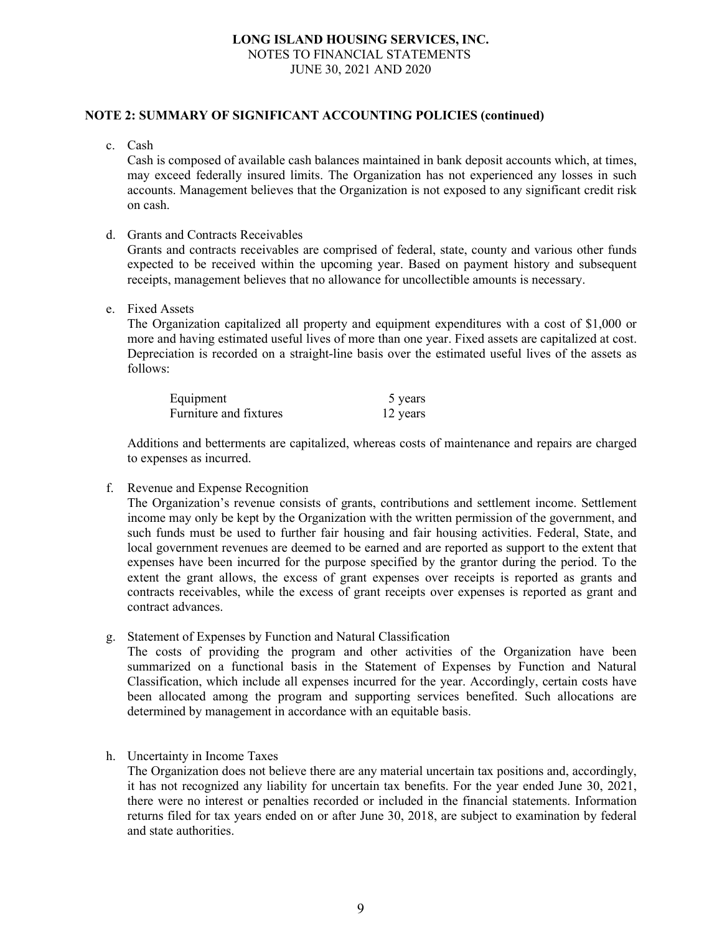## **LONG ISLAND HOUSING SERVICES, INC.** NOTES TO FINANCIAL STATEMENTS

JUNE 30, 2021 AND 2020

### **NOTE 2: SUMMARY OF SIGNIFICANT ACCOUNTING POLICIES (continued)**

c. Cash

Cash is composed of available cash balances maintained in bank deposit accounts which, at times, may exceed federally insured limits. The Organization has not experienced any losses in such accounts. Management believes that the Organization is not exposed to any significant credit risk on cash.

d. Grants and Contracts Receivables

Grants and contracts receivables are comprised of federal, state, county and various other funds expected to be received within the upcoming year. Based on payment history and subsequent receipts, management believes that no allowance for uncollectible amounts is necessary.

e. Fixed Assets

The Organization capitalized all property and equipment expenditures with a cost of \$1,000 or more and having estimated useful lives of more than one year. Fixed assets are capitalized at cost. Depreciation is recorded on a straight-line basis over the estimated useful lives of the assets as follows:

| Equipment              | 5 years  |
|------------------------|----------|
| Furniture and fixtures | 12 years |

Additions and betterments are capitalized, whereas costs of maintenance and repairs are charged to expenses as incurred.

f. Revenue and Expense Recognition

The Organization's revenue consists of grants, contributions and settlement income. Settlement income may only be kept by the Organization with the written permission of the government, and such funds must be used to further fair housing and fair housing activities. Federal, State, and local government revenues are deemed to be earned and are reported as support to the extent that expenses have been incurred for the purpose specified by the grantor during the period. To the extent the grant allows, the excess of grant expenses over receipts is reported as grants and contracts receivables, while the excess of grant receipts over expenses is reported as grant and contract advances.

g. Statement of Expenses by Function and Natural Classification

The costs of providing the program and other activities of the Organization have been summarized on a functional basis in the Statement of Expenses by Function and Natural Classification, which include all expenses incurred for the year. Accordingly, certain costs have been allocated among the program and supporting services benefited. Such allocations are determined by management in accordance with an equitable basis.

h. Uncertainty in Income Taxes

The Organization does not believe there are any material uncertain tax positions and, accordingly, it has not recognized any liability for uncertain tax benefits. For the year ended June 30, 2021, there were no interest or penalties recorded or included in the financial statements. Information returns filed for tax years ended on or after June 30, 2018, are subject to examination by federal and state authorities.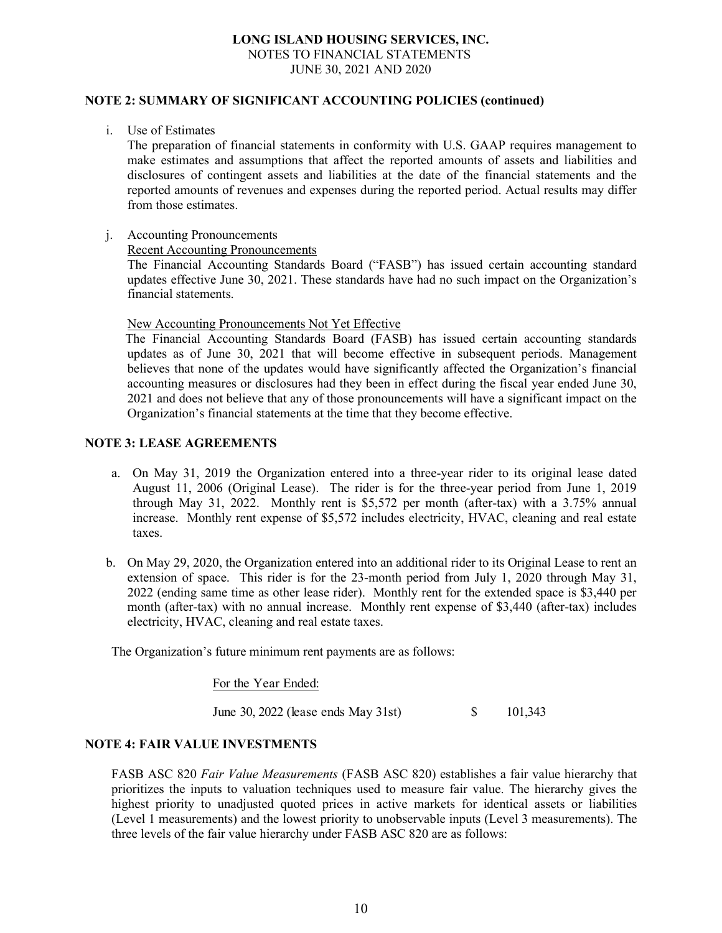#### **NOTE 2: SUMMARY OF SIGNIFICANT ACCOUNTING POLICIES (continued)**

i. Use of Estimates

The preparation of financial statements in conformity with U.S. GAAP requires management to make estimates and assumptions that affect the reported amounts of assets and liabilities and disclosures of contingent assets and liabilities at the date of the financial statements and the reported amounts of revenues and expenses during the reported period. Actual results may differ from those estimates.

j. Accounting Pronouncements

Recent Accounting Pronouncements

The Financial Accounting Standards Board ("FASB") has issued certain accounting standard updates effective June 30, 2021. These standards have had no such impact on the Organization's financial statements.

#### New Accounting Pronouncements Not Yet Effective

The Financial Accounting Standards Board (FASB) has issued certain accounting standards updates as of June 30, 2021 that will become effective in subsequent periods. Management believes that none of the updates would have significantly affected the Organization's financial accounting measures or disclosures had they been in effect during the fiscal year ended June 30, 2021 and does not believe that any of those pronouncements will have a significant impact on the Organization's financial statements at the time that they become effective.

#### **NOTE 3: LEASE AGREEMENTS**

- a. On May 31, 2019 the Organization entered into a three-year rider to its original lease dated August 11, 2006 (Original Lease). The rider is for the three-year period from June 1, 2019 through May 31, 2022. Monthly rent is \$5,572 per month (after-tax) with a 3.75% annual increase. Monthly rent expense of \$5,572 includes electricity, HVAC, cleaning and real estate taxes.
- b. On May 29, 2020, the Organization entered into an additional rider to its Original Lease to rent an extension of space. This rider is for the 23-month period from July 1, 2020 through May 31, 2022 (ending same time as other lease rider). Monthly rent for the extended space is \$3,440 per month (after-tax) with no annual increase. Monthly rent expense of \$3,440 (after-tax) includes electricity, HVAC, cleaning and real estate taxes.

The Organization's future minimum rent payments are as follows:

| For the Year Ended:                 |         |
|-------------------------------------|---------|
| June 30, 2022 (lease ends May 31st) | 101,343 |

#### **NOTE 4: FAIR VALUE INVESTMENTS**

FASB ASC 820 *Fair Value Measurements* (FASB ASC 820) establishes a fair value hierarchy that prioritizes the inputs to valuation techniques used to measure fair value. The hierarchy gives the highest priority to unadjusted quoted prices in active markets for identical assets or liabilities (Level 1 measurements) and the lowest priority to unobservable inputs (Level 3 measurements). The three levels of the fair value hierarchy under FASB ASC 820 are as follows: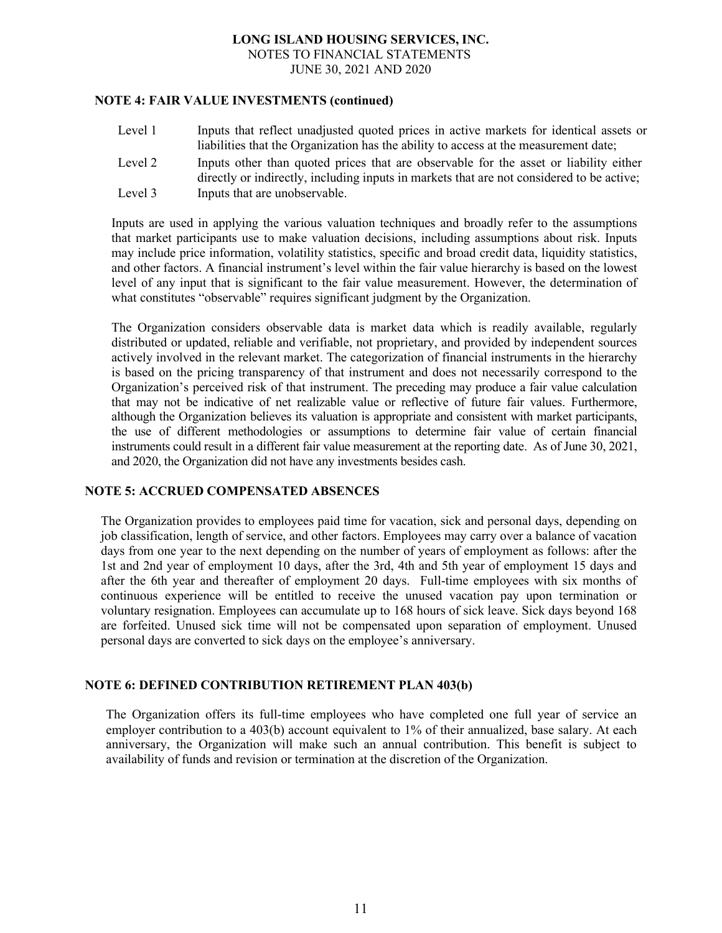#### **NOTE 4: FAIR VALUE INVESTMENTS (continued)**

- Level 1 Inputs that reflect unadjusted quoted prices in active markets for identical assets or liabilities that the Organization has the ability to access at the measurement date;
- Level 2 Inputs other than quoted prices that are observable for the asset or liability either directly or indirectly, including inputs in markets that are not considered to be active; Level 3 Inputs that are unobservable.

Inputs are used in applying the various valuation techniques and broadly refer to the assumptions that market participants use to make valuation decisions, including assumptions about risk. Inputs may include price information, volatility statistics, specific and broad credit data, liquidity statistics, and other factors. A financial instrument's level within the fair value hierarchy is based on the lowest level of any input that is significant to the fair value measurement. However, the determination of what constitutes "observable" requires significant judgment by the Organization.

The Organization considers observable data is market data which is readily available, regularly distributed or updated, reliable and verifiable, not proprietary, and provided by independent sources actively involved in the relevant market. The categorization of financial instruments in the hierarchy is based on the pricing transparency of that instrument and does not necessarily correspond to the Organization's perceived risk of that instrument. The preceding may produce a fair value calculation that may not be indicative of net realizable value or reflective of future fair values. Furthermore, although the Organization believes its valuation is appropriate and consistent with market participants, the use of different methodologies or assumptions to determine fair value of certain financial instruments could result in a different fair value measurement at the reporting date. As of June 30, 2021, and 2020, the Organization did not have any investments besides cash.

#### **NOTE 5: ACCRUED COMPENSATED ABSENCES**

The Organization provides to employees paid time for vacation, sick and personal days, depending on job classification, length of service, and other factors. Employees may carry over a balance of vacation days from one year to the next depending on the number of years of employment as follows: after the 1st and 2nd year of employment 10 days, after the 3rd, 4th and 5th year of employment 15 days and after the 6th year and thereafter of employment 20 days. Full-time employees with six months of continuous experience will be entitled to receive the unused vacation pay upon termination or voluntary resignation. Employees can accumulate up to 168 hours of sick leave. Sick days beyond 168 are forfeited. Unused sick time will not be compensated upon separation of employment. Unused personal days are converted to sick days on the employee's anniversary.

#### **NOTE 6: DEFINED CONTRIBUTION RETIREMENT PLAN 403(b)**

The Organization offers its full-time employees who have completed one full year of service an employer contribution to a 403(b) account equivalent to 1% of their annualized, base salary. At each anniversary, the Organization will make such an annual contribution. This benefit is subject to availability of funds and revision or termination at the discretion of the Organization.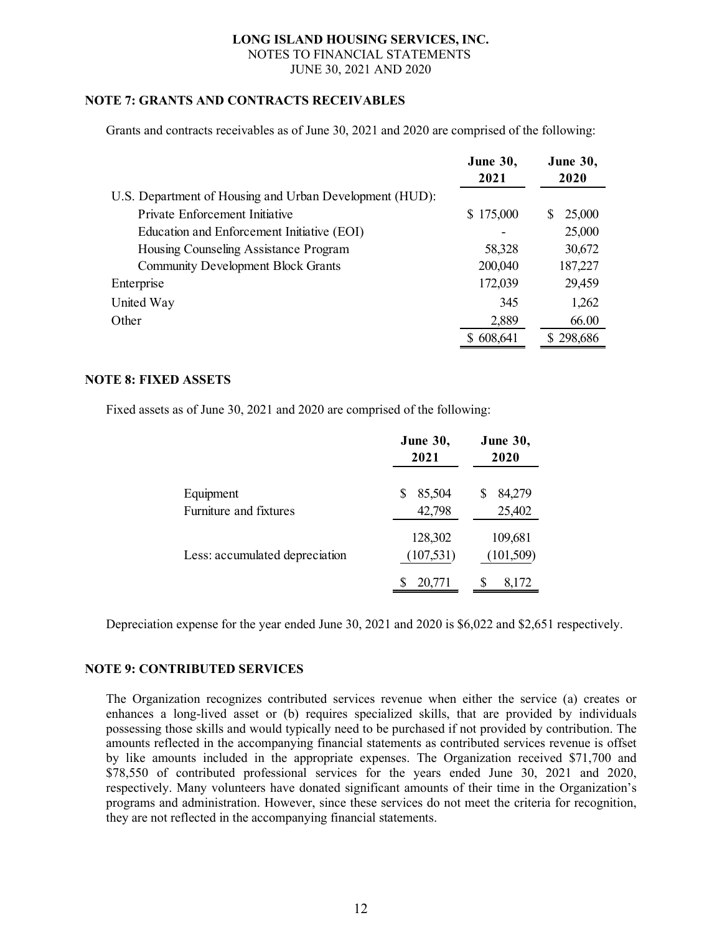## **LONG ISLAND HOUSING SERVICES, INC.**

NOTES TO FINANCIAL STATEMENTS

JUNE 30, 2021 AND 2020

#### **NOTE 7: GRANTS AND CONTRACTS RECEIVABLES**

Grants and contracts receivables as of June 30, 2021 and 2020 are comprised of the following:

|                                                         | <b>June 30,</b><br>2021 | June 30,<br>2020 |
|---------------------------------------------------------|-------------------------|------------------|
| U.S. Department of Housing and Urban Development (HUD): |                         |                  |
| <b>Private Enforcement Initiative</b>                   | \$175,000               | 25,000<br>S      |
| Education and Enforcement Initiative (EOI)              |                         | 25,000           |
| Housing Counseling Assistance Program                   | 58,328                  | 30,672           |
| <b>Community Development Block Grants</b>               | 200,040                 | 187,227          |
| Enterprise                                              | 172,039                 | 29,459           |
| United Way                                              | 345                     | 1,262            |
| Other                                                   | 2,889                   | 66.00            |
|                                                         | \$608,641               | \$298,686        |

#### **NOTE 8: FIXED ASSETS**

Fixed assets as of June 30, 2021 and 2020 are comprised of the following:

|                                     | <b>June 30,</b><br>2021 | <b>June 30,</b><br>2020 |
|-------------------------------------|-------------------------|-------------------------|
| Equipment<br>Furniture and fixtures | 85,504<br>S<br>42,798   | 84,279<br>25,402        |
| Less: accumulated depreciation      | 128,302<br>(107, 531)   | 109,681<br>(101, 509)   |
|                                     | 20,771                  | S<br>8,172              |

Depreciation expense for the year ended June 30, 2021 and 2020 is \$6,022 and \$2,651 respectively.

#### **NOTE 9: CONTRIBUTED SERVICES**

The Organization recognizes contributed services revenue when either the service (a) creates or enhances a long-lived asset or (b) requires specialized skills, that are provided by individuals possessing those skills and would typically need to be purchased if not provided by contribution. The amounts reflected in the accompanying financial statements as contributed services revenue is offset by like amounts included in the appropriate expenses. The Organization received \$71,700 and \$78,550 of contributed professional services for the years ended June 30, 2021 and 2020, respectively. Many volunteers have donated significant amounts of their time in the Organization's programs and administration. However, since these services do not meet the criteria for recognition, they are not reflected in the accompanying financial statements.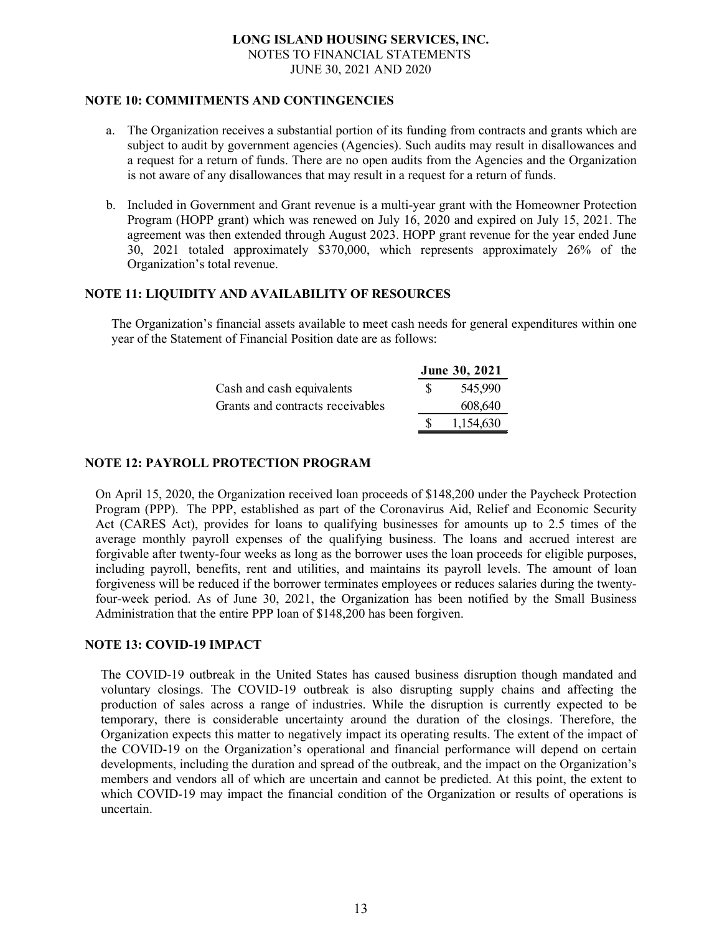#### **NOTE 10: COMMITMENTS AND CONTINGENCIES**

- a. The Organization receives a substantial portion of its funding from contracts and grants which are subject to audit by government agencies (Agencies). Such audits may result in disallowances and a request for a return of funds. There are no open audits from the Agencies and the Organization is not aware of any disallowances that may result in a request for a return of funds.
- b. Included in Government and Grant revenue is a multi-year grant with the Homeowner Protection Program (HOPP grant) which was renewed on July 16, 2020 and expired on July 15, 2021. The agreement was then extended through August 2023. HOPP grant revenue for the year ended June 30, 2021 totaled approximately \$370,000, which represents approximately 26% of the Organization's total revenue.

### **NOTE 11: LIQUIDITY AND AVAILABILITY OF RESOURCES**

The Organization's financial assets available to meet cash needs for general expenditures within one year of the Statement of Financial Position date are as follows:

|                                  | June 30, 2021 |
|----------------------------------|---------------|
| Cash and cash equivalents        | 545,990       |
| Grants and contracts receivables | 608,640       |
|                                  | 1,154,630     |

#### **NOTE 12: PAYROLL PROTECTION PROGRAM**

On April 15, 2020, the Organization received loan proceeds of \$148,200 under the Paycheck Protection Program (PPP). The PPP, established as part of the Coronavirus Aid, Relief and Economic Security Act (CARES Act), provides for loans to qualifying businesses for amounts up to 2.5 times of the average monthly payroll expenses of the qualifying business. The loans and accrued interest are forgivable after twenty-four weeks as long as the borrower uses the loan proceeds for eligible purposes, including payroll, benefits, rent and utilities, and maintains its payroll levels. The amount of loan forgiveness will be reduced if the borrower terminates employees or reduces salaries during the twentyfour-week period. As of June 30, 2021, the Organization has been notified by the Small Business Administration that the entire PPP loan of \$148,200 has been forgiven.

#### **NOTE 13: COVID-19 IMPACT**

The COVID-19 outbreak in the United States has caused business disruption though mandated and voluntary closings. The COVID-19 outbreak is also disrupting supply chains and affecting the production of sales across a range of industries. While the disruption is currently expected to be temporary, there is considerable uncertainty around the duration of the closings. Therefore, the Organization expects this matter to negatively impact its operating results. The extent of the impact of the COVID-19 on the Organization's operational and financial performance will depend on certain developments, including the duration and spread of the outbreak, and the impact on the Organization's members and vendors all of which are uncertain and cannot be predicted. At this point, the extent to which COVID-19 may impact the financial condition of the Organization or results of operations is uncertain.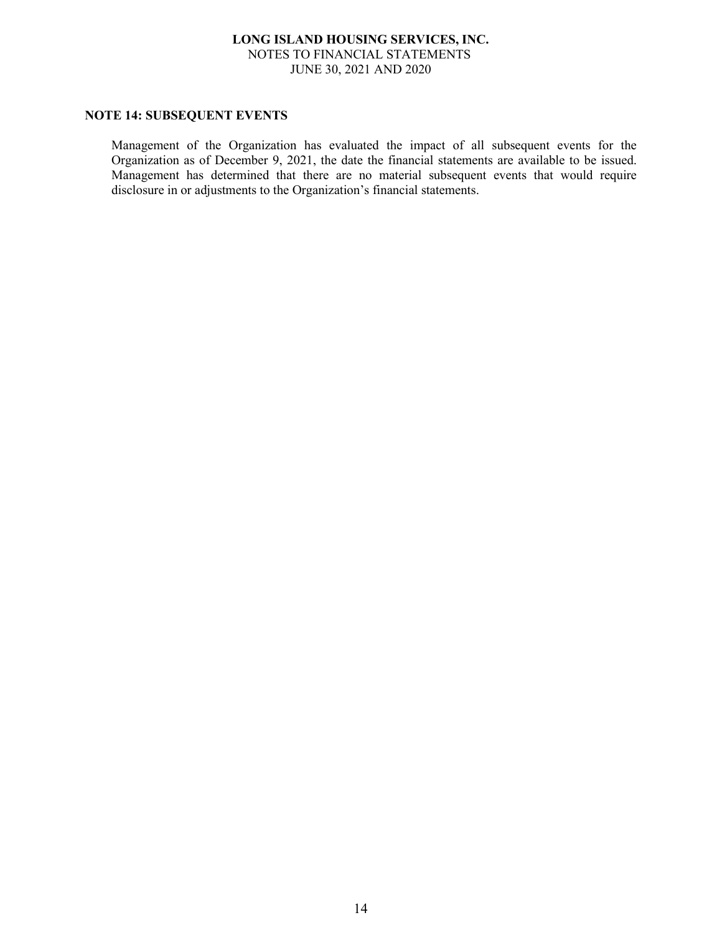#### **NOTE 14: SUBSEQUENT EVENTS**

Management of the Organization has evaluated the impact of all subsequent events for the Organization as of December 9, 2021, the date the financial statements are available to be issued. Management has determined that there are no material subsequent events that would require disclosure in or adjustments to the Organization's financial statements.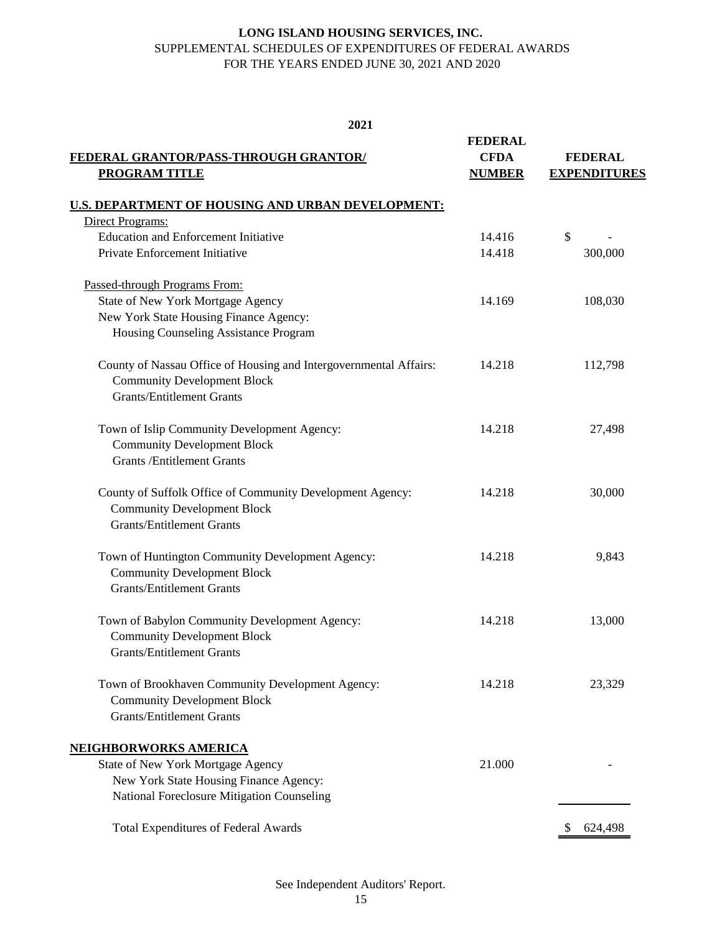## **LONG ISLAND HOUSING SERVICES, INC.** SUPPLEMENTAL SCHEDULES OF EXPENDITURES OF FEDERAL AWARDS FOR THE YEARS ENDED JUNE 30, 2021 AND 2020

**2021**

|                                                                   | <b>FEDERAL</b>               |                                       |
|-------------------------------------------------------------------|------------------------------|---------------------------------------|
| FEDERAL GRANTOR/PASS-THROUGH GRANTOR/<br><b>PROGRAM TITLE</b>     | <b>CFDA</b><br><b>NUMBER</b> | <b>FEDERAL</b><br><b>EXPENDITURES</b> |
|                                                                   |                              |                                       |
| U.S. DEPARTMENT OF HOUSING AND URBAN DEVELOPMENT:                 |                              |                                       |
| Direct Programs:                                                  |                              |                                       |
| <b>Education and Enforcement Initiative</b>                       | 14.416                       | $\mathcal{S}$                         |
| Private Enforcement Initiative                                    | 14.418                       | 300,000                               |
| Passed-through Programs From:                                     |                              |                                       |
| State of New York Mortgage Agency                                 | 14.169                       | 108,030                               |
| New York State Housing Finance Agency:                            |                              |                                       |
| Housing Counseling Assistance Program                             |                              |                                       |
| County of Nassau Office of Housing and Intergovernmental Affairs: | 14.218                       | 112,798                               |
| <b>Community Development Block</b>                                |                              |                                       |
| <b>Grants/Entitlement Grants</b>                                  |                              |                                       |
| Town of Islip Community Development Agency:                       | 14.218                       | 27,498                                |
| <b>Community Development Block</b>                                |                              |                                       |
| <b>Grants /Entitlement Grants</b>                                 |                              |                                       |
| County of Suffolk Office of Community Development Agency:         | 14.218                       | 30,000                                |
| <b>Community Development Block</b>                                |                              |                                       |
| <b>Grants/Entitlement Grants</b>                                  |                              |                                       |
| Town of Huntington Community Development Agency:                  | 14.218                       | 9,843                                 |
| <b>Community Development Block</b>                                |                              |                                       |
| <b>Grants/Entitlement Grants</b>                                  |                              |                                       |
| Town of Babylon Community Development Agency:                     | 14.218                       | 13,000                                |
| <b>Community Development Block</b>                                |                              |                                       |
| <b>Grants/Entitlement Grants</b>                                  |                              |                                       |
| Town of Brookhaven Community Development Agency:                  | 14.218                       | 23,329                                |
| <b>Community Development Block</b>                                |                              |                                       |
| <b>Grants/Entitlement Grants</b>                                  |                              |                                       |
|                                                                   |                              |                                       |
| <b>NEIGHBORWORKS AMERICA</b>                                      |                              |                                       |
| State of New York Mortgage Agency                                 | 21.000                       |                                       |
| New York State Housing Finance Agency:                            |                              |                                       |
| National Foreclosure Mitigation Counseling                        |                              |                                       |
| <b>Total Expenditures of Federal Awards</b>                       |                              | 624,498                               |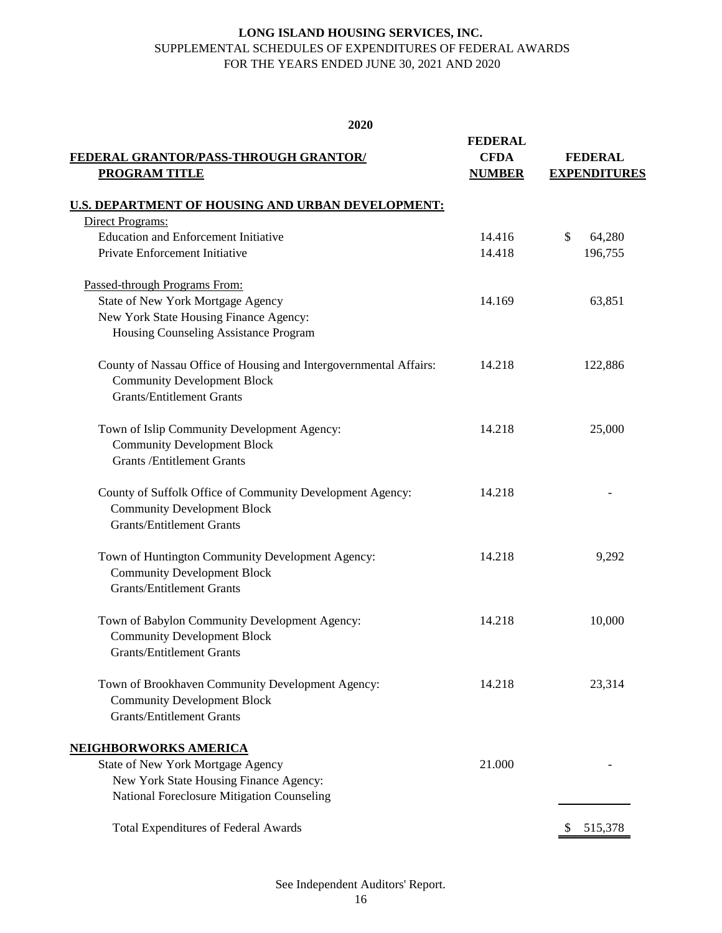## **LONG ISLAND HOUSING SERVICES, INC.** SUPPLEMENTAL SCHEDULES OF EXPENDITURES OF FEDERAL AWARDS FOR THE YEARS ENDED JUNE 30, 2021 AND 2020

**2020**

| FEDERAL GRANTOR/PASS-THROUGH GRANTOR/<br><b>PROGRAM TITLE</b>     | <b>CFDA</b><br><b>NUMBER</b> | <b>FEDERAL</b><br><b>EXPENDITURES</b> |
|-------------------------------------------------------------------|------------------------------|---------------------------------------|
|                                                                   |                              |                                       |
|                                                                   |                              |                                       |
| U.S. DEPARTMENT OF HOUSING AND URBAN DEVELOPMENT:                 |                              |                                       |
| Direct Programs:                                                  |                              |                                       |
| <b>Education and Enforcement Initiative</b>                       | 14.416                       | \$<br>64,280                          |
| Private Enforcement Initiative                                    | 14.418                       | 196,755                               |
| Passed-through Programs From:                                     |                              |                                       |
| State of New York Mortgage Agency                                 | 14.169                       | 63,851                                |
| New York State Housing Finance Agency:                            |                              |                                       |
| Housing Counseling Assistance Program                             |                              |                                       |
| County of Nassau Office of Housing and Intergovernmental Affairs: | 14.218                       | 122,886                               |
| <b>Community Development Block</b>                                |                              |                                       |
| <b>Grants/Entitlement Grants</b>                                  |                              |                                       |
| Town of Islip Community Development Agency:                       | 14.218                       | 25,000                                |
| <b>Community Development Block</b>                                |                              |                                       |
| <b>Grants /Entitlement Grants</b>                                 |                              |                                       |
| County of Suffolk Office of Community Development Agency:         | 14.218                       |                                       |
| <b>Community Development Block</b>                                |                              |                                       |
| <b>Grants/Entitlement Grants</b>                                  |                              |                                       |
| Town of Huntington Community Development Agency:                  | 14.218                       | 9,292                                 |
| <b>Community Development Block</b>                                |                              |                                       |
| <b>Grants/Entitlement Grants</b>                                  |                              |                                       |
| Town of Babylon Community Development Agency:                     | 14.218                       | 10,000                                |
| <b>Community Development Block</b>                                |                              |                                       |
| <b>Grants/Entitlement Grants</b>                                  |                              |                                       |
| Town of Brookhaven Community Development Agency:                  | 14.218                       | 23,314                                |
| <b>Community Development Block</b>                                |                              |                                       |
| <b>Grants/Entitlement Grants</b>                                  |                              |                                       |
| <b>NEIGHBORWORKS AMERICA</b>                                      |                              |                                       |
| State of New York Mortgage Agency                                 | 21.000                       |                                       |
| New York State Housing Finance Agency:                            |                              |                                       |
| National Foreclosure Mitigation Counseling                        |                              |                                       |
| <b>Total Expenditures of Federal Awards</b>                       |                              | 515,378                               |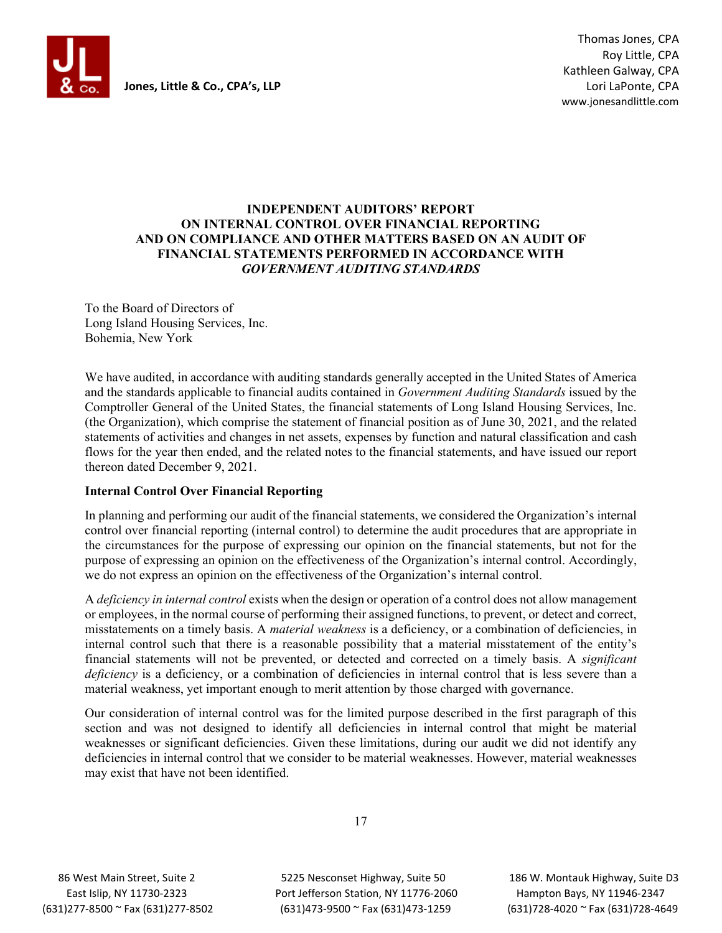

**Jones, Little & Co., CPA's, LLP** Lori LaPonte, CPA

Thomas Jones, CPA Roy Little, CPA Kathleen Galway, CPA www.jonesandlittle.com

#### **INDEPENDENT AUDITORS' REPORT ON INTERNAL CONTROL OVER FINANCIAL REPORTING AND ON COMPLIANCE AND OTHER MATTERS BASED ON AN AUDIT OF FINANCIAL STATEMENTS PERFORMED IN ACCORDANCE WITH** *GOVERNMENT AUDITING STANDARDS*

To the Board of Directors of Long Island Housing Services, Inc. Bohemia, New York

We have audited, in accordance with auditing standards generally accepted in the United States of America and the standards applicable to financial audits contained in *Government Auditing Standards* issued by the Comptroller General of the United States, the financial statements of Long Island Housing Services, Inc. (the Organization), which comprise the statement of financial position as of June 30, 2021, and the related statements of activities and changes in net assets, expenses by function and natural classification and cash flows for the year then ended, and the related notes to the financial statements, and have issued our report thereon dated December 9, 2021.

#### **Internal Control Over Financial Reporting**

In planning and performing our audit of the financial statements, we considered the Organization's internal control over financial reporting (internal control) to determine the audit procedures that are appropriate in the circumstances for the purpose of expressing our opinion on the financial statements, but not for the purpose of expressing an opinion on the effectiveness of the Organization's internal control. Accordingly, we do not express an opinion on the effectiveness of the Organization's internal control.

A *deficiency in internal control* exists when the design or operation of a control does not allow management or employees, in the normal course of performing their assigned functions, to prevent, or detect and correct, misstatements on a timely basis. A *material weakness* is a deficiency, or a combination of deficiencies, in internal control such that there is a reasonable possibility that a material misstatement of the entity's financial statements will not be prevented, or detected and corrected on a timely basis. A *significant deficiency* is a deficiency, or a combination of deficiencies in internal control that is less severe than a material weakness, yet important enough to merit attention by those charged with governance.

Our consideration of internal control was for the limited purpose described in the first paragraph of this section and was not designed to identify all deficiencies in internal control that might be material weaknesses or significant deficiencies. Given these limitations, during our audit we did not identify any deficiencies in internal control that we consider to be material weaknesses. However, material weaknesses may exist that have not been identified.

17

86 West Main Street, Suite 2 5225 Nesconset Highway, Suite 50 186 W. Montauk Highway, Suite D3 East Islip, NY 11730-2323 Port Jefferson Station, NY 11776-2060 Hampton Bays, NY 11946-2347 (631)277-8500 ~ Fax (631)277-8502 (631)473-9500 ~ Fax (631)473-1259 (631)728-4020 ~ Fax (631)728-4649